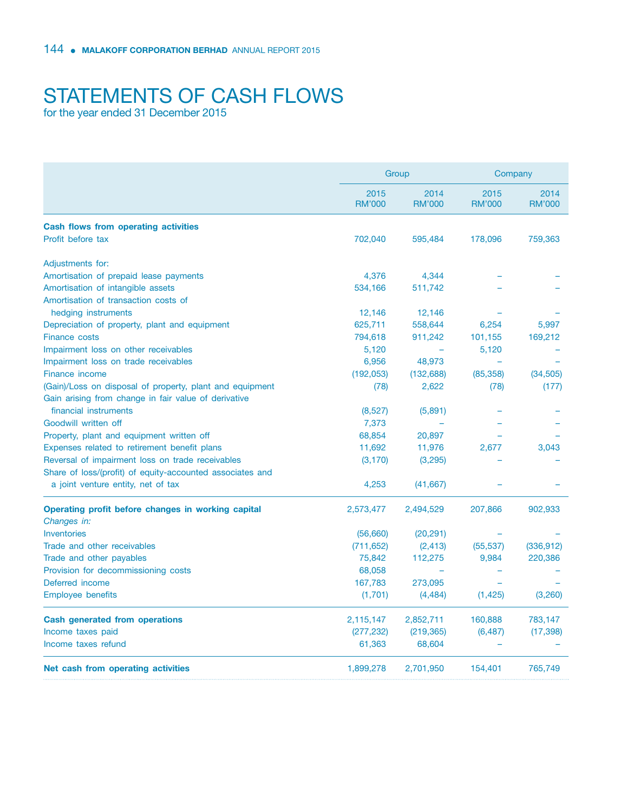## STATEMENTS OF CASH FLOW

for the year ended 31 December 2015

|                                                                   | Group                 |                       | Company               |                       |
|-------------------------------------------------------------------|-----------------------|-----------------------|-----------------------|-----------------------|
|                                                                   | 2015<br><b>RM'000</b> | 2014<br><b>RM'000</b> | 2015<br><b>RM'000</b> | 2014<br><b>RM'000</b> |
| Cash flows from operating activities                              |                       |                       |                       |                       |
| Profit before tax                                                 | 702,040               | 595,484               | 178,096               | 759,363               |
| Adjustments for:                                                  |                       |                       |                       |                       |
| Amortisation of prepaid lease payments                            | 4,376                 | 4,344                 |                       |                       |
| Amortisation of intangible assets                                 | 534,166               | 511,742               |                       |                       |
| Amortisation of transaction costs of                              |                       |                       |                       |                       |
| hedging instruments                                               | 12,146                | 12,146                |                       |                       |
| Depreciation of property, plant and equipment                     | 625,711               | 558,644               | 6,254                 | 5,997                 |
| <b>Finance costs</b>                                              | 794,618               | 911,242               | 101,155               | 169,212               |
| Impairment loss on other receivables                              | 5,120                 |                       | 5,120                 |                       |
| Impairment loss on trade receivables                              | 6,956                 | 48,973                |                       |                       |
| Finance income                                                    | (192, 053)            | (132, 688)            | (85, 358)             | (34, 505)             |
| (Gain)/Loss on disposal of property, plant and equipment          | (78)                  | 2,622                 | (78)                  | (177)                 |
| Gain arising from change in fair value of derivative              |                       |                       |                       |                       |
| financial instruments                                             | (8,527)               | (5,891)               |                       |                       |
| Goodwill written off                                              | 7,373                 |                       |                       |                       |
| Property, plant and equipment written off                         | 68,854                | 20,897                |                       |                       |
| Expenses related to retirement benefit plans                      | 11,692                | 11,976                | 2,677                 | 3,043                 |
| Reversal of impairment loss on trade receivables                  | (3, 170)              | (3,295)               |                       |                       |
| Share of loss/(profit) of equity-accounted associates and         |                       |                       |                       |                       |
| a joint venture entity, net of tax                                | 4,253                 | (41, 667)             |                       |                       |
| Operating profit before changes in working capital<br>Changes in: | 2,573,477             | 2,494,529             | 207,866               | 902,933               |
| Inventories                                                       | (56,660)              | (20, 291)             |                       |                       |
| Trade and other receivables                                       | (711, 652)            | (2, 413)              | (55, 537)             | (336, 912)            |
| Trade and other payables                                          | 75,842                | 112,275               | 9,984                 | 220,386               |
| Provision for decommissioning costs                               | 68,058                |                       |                       |                       |
| Deferred income                                                   | 167,783               | 273,095               |                       |                       |
| <b>Employee benefits</b>                                          | (1,701)               | (4, 484)              | (1, 425)              | (3,260)               |
| <b>Cash generated from operations</b>                             | 2,115,147             | 2,852,711             | 160,888               | 783,147               |
| Income taxes paid                                                 | (277, 232)            | (219, 365)            | (6, 487)              | (17, 398)             |
| Income taxes refund                                               | 61,363                | 68,604                |                       |                       |
| Net cash from operating activities                                | 1,899,278             | 2,701,950             | 154,401               | 765,749               |